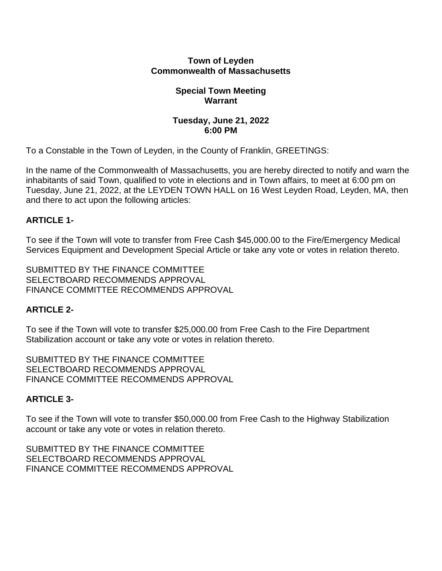### **Town of Leyden Commonwealth of Massachusetts**

#### **Special Town Meeting Warrant**

### **Tuesday, June 21, 2022 6:00 PM**

To a Constable in the Town of Leyden, in the County of Franklin, GREETINGS:

In the name of the Commonwealth of Massachusetts, you are hereby directed to notify and warn the inhabitants of said Town, qualified to vote in elections and in Town affairs, to meet at 6:00 pm on Tuesday, June 21, 2022, at the LEYDEN TOWN HALL on 16 West Leyden Road, Leyden, MA, then and there to act upon the following articles:

# **ARTICLE 1-**

To see if the Town will vote to transfer from Free Cash \$45,000.00 to the Fire/Emergency Medical Services Equipment and Development Special Article or take any vote or votes in relation thereto.

SUBMITTED BY THE FINANCE COMMITTEE SELECTBOARD RECOMMENDS APPROVAL FINANCE COMMITTEE RECOMMENDS APPROVAL

# **ARTICLE 2-**

To see if the Town will vote to transfer \$25,000.00 from Free Cash to the Fire Department Stabilization account or take any vote or votes in relation thereto.

SUBMITTED BY THE FINANCE COMMITTEE SELECTBOARD RECOMMENDS APPROVAL FINANCE COMMITTEE RECOMMENDS APPROVAL

### **ARTICLE 3-**

To see if the Town will vote to transfer \$50,000.00 from Free Cash to the Highway Stabilization account or take any vote or votes in relation thereto.

SUBMITTED BY THE FINANCE COMMITTEE SELECTBOARD RECOMMENDS APPROVAL FINANCE COMMITTEE RECOMMENDS APPROVAL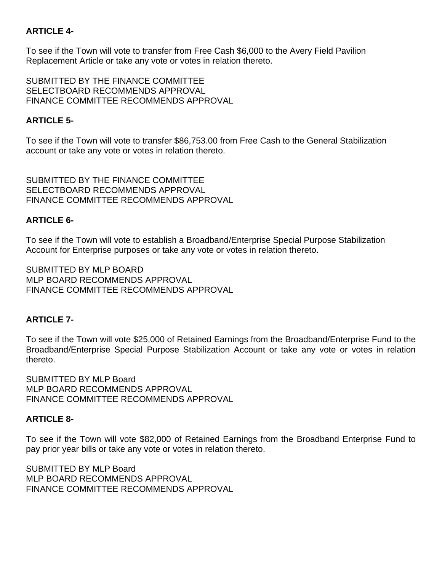# **ARTICLE 4-**

To see if the Town will vote to transfer from Free Cash \$6,000 to the Avery Field Pavilion Replacement Article or take any vote or votes in relation thereto.

SUBMITTED BY THE FINANCE COMMITTEE SELECTBOARD RECOMMENDS APPROVAL FINANCE COMMITTEE RECOMMENDS APPROVAL

# **ARTICLE 5-**

To see if the Town will vote to transfer \$86,753.00 from Free Cash to the General Stabilization account or take any vote or votes in relation thereto.

SUBMITTED BY THE FINANCE COMMITTEE SELECTBOARD RECOMMENDS APPROVAL FINANCE COMMITTEE RECOMMENDS APPROVAL

### **ARTICLE 6-**

To see if the Town will vote to establish a Broadband/Enterprise Special Purpose Stabilization Account for Enterprise purposes or take any vote or votes in relation thereto.

SUBMITTED BY MLP BOARD MLP BOARD RECOMMENDS APPROVAL FINANCE COMMITTEE RECOMMENDS APPROVAL

### **ARTICLE 7-**

To see if the Town will vote \$25,000 of Retained Earnings from the Broadband/Enterprise Fund to the Broadband/Enterprise Special Purpose Stabilization Account or take any vote or votes in relation thereto.

SUBMITTED BY MLP Board MLP BOARD RECOMMENDS APPROVAL FINANCE COMMITTEE RECOMMENDS APPROVAL

### **ARTICLE 8-**

To see if the Town will vote \$82,000 of Retained Earnings from the Broadband Enterprise Fund to pay prior year bills or take any vote or votes in relation thereto.

SUBMITTED BY MLP Board MLP BOARD RECOMMENDS APPROVAL FINANCE COMMITTEE RECOMMENDS APPROVAL